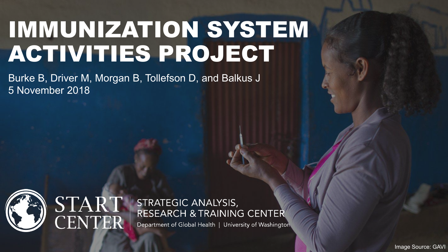# IMMUNIZATION SYSTEM ACTIVITIES PROJECT

Burke B, Driver M, Morgan B, Tollefson D, and Balkus J 5 November 2018



STRATEGIC ANALYSIS, **RESEARCH & TRAINING CENTER** 

Department of Global Health | University of Washington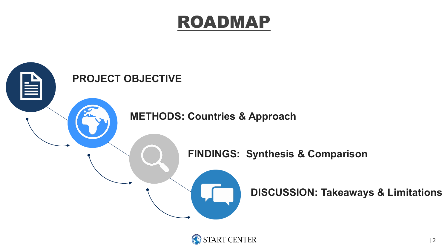### ROADMAP



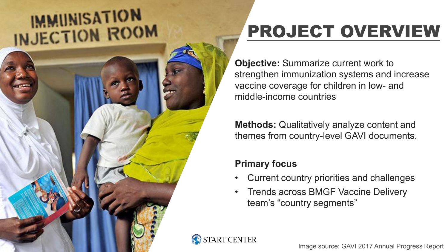# **IMMUNISATION** INJECTION ROOM



**Objective:** Summarize current work to strengthen immunization systems and increase vaccine coverage for children in low- and middle-income countries

**Methods:** Qualitatively analyze content and themes from country-level GAVI documents.

#### **Primary focus**

- Current country priorities and challenges
- Trends across BMGF Vaccine Delivery team's "country segments"



Image source: GAVI 2017 Annual Progress Report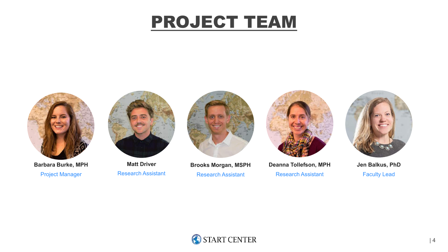### PROJECT TEAM



**Barbara Burke, MPH** Project Manager



**Matt Driver** Research Assistant



**Brooks Morgan, MSPH** Research Assistant



**Deanna Tollefson, MPH** Research Assistant



**Jen Balkus, PhD** Faculty Lead

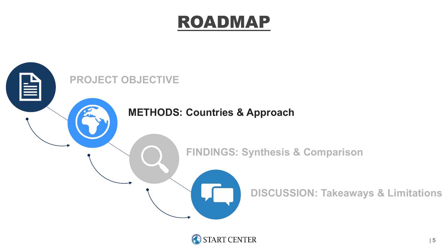### ROADMAP



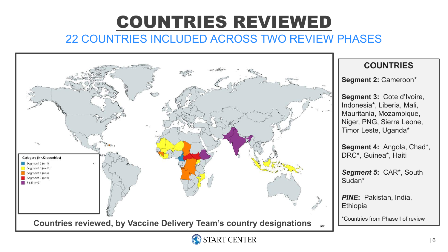### COUNTRIES REVIEWED 22 COUNTRIES INCLUDED ACROSS TWO REVIEW PHASES



#### **COUNTRIES**

**Segment 2:** Cameroon\*

**Segment 3:** Cote d'Ivoire, Indonesia\*, Liberia, Mali, Mauritania, Mozambique, Niger, PNG, Sierra Leone, Timor Leste, Uganda\*

**Segment 4:** Angola, Chad\*, DRC\*, Guinea\*, Haiti

*Segment 5***:** CAR\*, South Sudan\*

*PINE***:** Pakistan, India, **Ethiopia** 

\*Countries from Phase I of review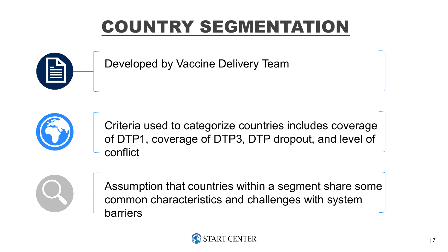## **COUNTRY SEGMENTATI**



Developed by Vaccine Delivery Team



Criteria used to categorize countries includes coverage of DTP1, coverage of DTP3, DTP dropout, and level of conflict

Assumption that countries within a segment share some common characteristics and challenges with system barriers

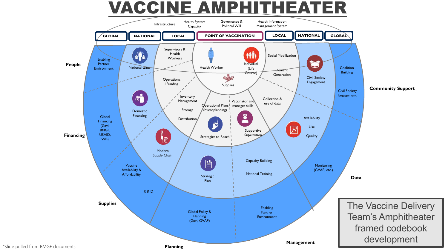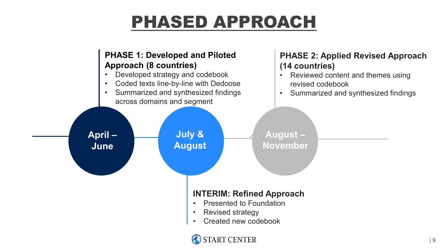## PHASED APPROACH

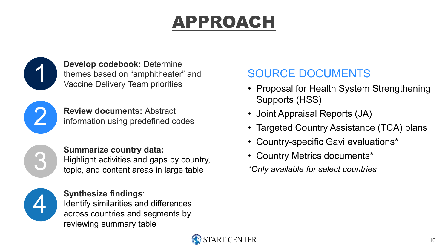## APPROACH



**Develop codebook:** Determine themes based on "amphitheater" and Vaccine Delivery Team priorities

2

**Review documents:** Abstract information using predefined codes

3

#### **Summarize country data:**

Highlight activities and gaps by country, topic, and content areas in large table



**Synthesize findings**:

Identify similarities and differences across countries and segments by reviewing summary table

### SOURCE DOCUMENTS

- Proposal for Health System Strengthening Supports (HSS)
- Joint Appraisal Reports (JA)
- Targeted Country Assistance (TCA) plans
- Country-specific Gavi evaluations\*
- Country Metrics documents\*

*\*Only available for select countries*

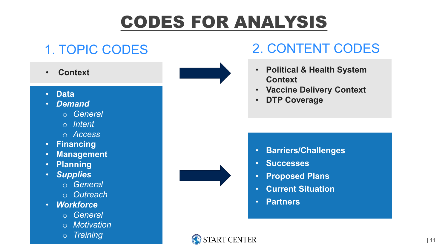## CODES FOR ANALYSIS

- **Context**
- **Data**
- *Demand*
	- o *General*
	- o *Intent*
	- o *Access*
- **Financing**
- **Management**
- **Planning**
- *Supplies*
	- o *General*
	- o *Outreach*
- *Workforce*
	- o *General*
	- o *Motivation*
	- o *Training*





- **Political & Health System Context**
- **Vaccine Delivery Context**
- **DTP Coverage**

- **Barriers/Challenges**
- **Successes**
- **Proposed Plans**
- **Current Situation**
- **Partners**

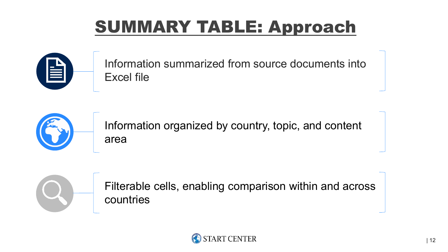## SUMMARY TABLE: Approach



Information summarized from source documents into Excel file



Information organized by country, topic, and content area



Filterable cells, enabling comparison within and across countries

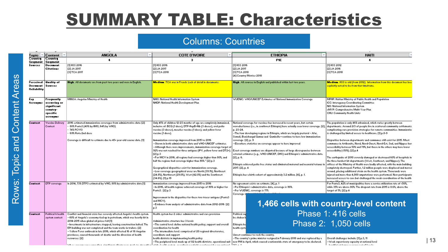### SUMMARY TABLE: Characteristics

#### Columns: Countries

| Topic                                                          | Content                                                                       | <b>ANGOLA</b>                                                                                                                                                                                                                                                                                                                                                                                                                                                                                         | <b>COTE D'IVOIRE</b>                                                                                                                                                                                                                                                                                                                                                                                                                                                                                                                                                                                                                                                                                                                                                                                                                                        | <b>ETHIOPIA</b>                                                                                                                                                                                                                                                                                                                                                                                                                                                                                                                                                                                                                                                                                                                                                                                | <b>HAITI</b>                                                                                                                                                                                                                                                                                                                                                                                                                                                                                                                                                                                                                                                                                                                                                                                                                                                                                                                                                                                                                                                                                                                |
|----------------------------------------------------------------|-------------------------------------------------------------------------------|-------------------------------------------------------------------------------------------------------------------------------------------------------------------------------------------------------------------------------------------------------------------------------------------------------------------------------------------------------------------------------------------------------------------------------------------------------------------------------------------------------|-------------------------------------------------------------------------------------------------------------------------------------------------------------------------------------------------------------------------------------------------------------------------------------------------------------------------------------------------------------------------------------------------------------------------------------------------------------------------------------------------------------------------------------------------------------------------------------------------------------------------------------------------------------------------------------------------------------------------------------------------------------------------------------------------------------------------------------------------------------|------------------------------------------------------------------------------------------------------------------------------------------------------------------------------------------------------------------------------------------------------------------------------------------------------------------------------------------------------------------------------------------------------------------------------------------------------------------------------------------------------------------------------------------------------------------------------------------------------------------------------------------------------------------------------------------------------------------------------------------------------------------------------------------------|-----------------------------------------------------------------------------------------------------------------------------------------------------------------------------------------------------------------------------------------------------------------------------------------------------------------------------------------------------------------------------------------------------------------------------------------------------------------------------------------------------------------------------------------------------------------------------------------------------------------------------------------------------------------------------------------------------------------------------------------------------------------------------------------------------------------------------------------------------------------------------------------------------------------------------------------------------------------------------------------------------------------------------------------------------------------------------------------------------------------------------|
| Country                                                        | $ $ Country                                                                   | 4                                                                                                                                                                                                                                                                                                                                                                                                                                                                                                     | э                                                                                                                                                                                                                                                                                                                                                                                                                                                                                                                                                                                                                                                                                                                                                                                                                                                           | <b>PIE</b>                                                                                                                                                                                                                                                                                                                                                                                                                                                                                                                                                                                                                                                                                                                                                                                     | 4                                                                                                                                                                                                                                                                                                                                                                                                                                                                                                                                                                                                                                                                                                                                                                                                                                                                                                                                                                                                                                                                                                                           |
| Segment<br>Sources                                             | Segment<br>Document<br><b>Citations</b>                                       | [1] HSS 2016<br>[2] JA 2017<br>[3] TCA 2017                                                                                                                                                                                                                                                                                                                                                                                                                                                           | [1] HSS 2016<br>[2] JA 2017<br>[3] TCA 2018                                                                                                                                                                                                                                                                                                                                                                                                                                                                                                                                                                                                                                                                                                                                                                                                                 | [1] HSS 2016<br>[2] JA 2017<br>[3] TCA 2018<br>[4] Country Metrics 2018                                                                                                                                                                                                                                                                                                                                                                                                                                                                                                                                                                                                                                                                                                                        | [1] HSS 2012<br>[2] JA 2016<br>[3] TCA 2018                                                                                                                                                                                                                                                                                                                                                                                                                                                                                                                                                                                                                                                                                                                                                                                                                                                                                                                                                                                                                                                                                 |
| Perceived <b>Quality</b> of<br>Document Sources<br>Reliability |                                                                               | High. All documents are from past two years and were in English.                                                                                                                                                                                                                                                                                                                                                                                                                                      | <b>Medium. TCA was in French. Lack of detail in documents.</b>                                                                                                                                                                                                                                                                                                                                                                                                                                                                                                                                                                                                                                                                                                                                                                                              | High. All sources in English and published within last two years.                                                                                                                                                                                                                                                                                                                                                                                                                                                                                                                                                                                                                                                                                                                              | <b>Medium.</b> HSS is old (from 2012). Information from this document has been<br>explicitly noted to be from that timeframe.                                                                                                                                                                                                                                                                                                                                                                                                                                                                                                                                                                                                                                                                                                                                                                                                                                                                                                                                                                                               |
| Key<br>Acronyms                                                | Frequently<br>occurring or<br>significant<br>country-<br>specific<br>acronyms | MINSA: Angolan Ministry of Health                                                                                                                                                                                                                                                                                                                                                                                                                                                                     | NHIS: National Health Information System<br>NHDP: National Health Development Plan                                                                                                                                                                                                                                                                                                                                                                                                                                                                                                                                                                                                                                                                                                                                                                          | WUENIC: WHO/UNICEF Estimates of National Immunization Coverage                                                                                                                                                                                                                                                                                                                                                                                                                                                                                                                                                                                                                                                                                                                                 | MPHP: Haitian Ministry of Public Health and Population<br>ICC: Interagency Coordinating Committee.<br>NIS: National Information System<br>cMYP: Comprehensive Multi-Year Plan<br>CHU: Community Health Units                                                                                                                                                                                                                                                                                                                                                                                                                                                                                                                                                                                                                                                                                                                                                                                                                                                                                                                |
| Context                                                        | <b>Vaccine Deliveru</b><br>Context                                            | 2016 estimated immunization coverages from administrative data: [2]<br>80% Pents3 (40% by IIMS; 64% by WHO)<br>74% PCV13<br>63% Rota 2nd dose<br>Coverage is difficult to estimate due to 45+ year-old census data. [1]                                                                                                                                                                                                                                                                               | Only 45% of children 12-23 months of age are completely immunized,<br>inclusive of: BCG (1 dose), DTP-HepB-Hib (3 doses), oral polio<br>vaccine (3 doses), measles vaccine (1 dose), and yellow fever<br>vaccine (1 dose).<br>Immunization coverage improved from 2015 to 2016.<br>-Shown in both administrative data and WHO-UNICEF estimates.<br>-Although there were improvements, immunization coverage target of<br>32% was not reached for three antigens (IPV, yellow fever and DT2+)<br>[2]p.3<br>--For MCV in 2016, all regions had coverage higher than 80%, and<br>half the regions had coverage higher than 30%." [2] p.3-<br>Geographical disparities exist for immunization coverage.<br>--Low coverage geographical areas are North (39.1%), Northeast<br>(24.8%), Northwest (29.0%), West (42.0%) and the Southwest<br>$(34.62)$ . [1] p.13 | National coverage for vaccines has increased in recent years, but certain<br>woredas/zones (i.e., in southwest Ethiopia) have actually seen lower coverage. [2],<br>p. 23-24.<br>-The four developing regions in Ethiopia, which are largely pastoral - Afar,<br>Somali, Benishangul Gumuz and Gambella-continue to have low immunization.<br>coverage [2], p. 3<br>-Elsewhere statistics on coverage appear to have improved-<br>Exact coverage numbers are disputed because of large discrepancies between<br>external estimates (e.g., WHO-UNICEF, DHS) and Ethiopia's administrative data.<br>[2], p. 6.<br>Ethiopia achieved polio free status and eliminated maternal and neonatal tetanus in<br>2017. [2], p. 4<br>Ethiopia has a birth cohort of approximately 3.2 million. [4], p. 1. | The population is only 46% urbanized, which varies greatly between<br>departments. Around 2/3 of people live in scattered community settlements,<br>complicating care provision strategies for remote communities. Immunization<br>is challenged by limited access to healthcare. [1] p.8-9-<br>Disparities between departments and communes still exist for 2015. Most<br>communes in Artibonite, Nord, Nord-Ouest, Nord-Est, Sud, and Nippes hav-<br>accessibility between 50% and 79%, but those in the others may have lower<br>accessibility (<50%). [2] p.4<br>The earthquake of 2010 severely damaged or destroyed 60% of hospitals in<br>the three hardest hit departments ('w'est, Southeast, and Nippes). The<br>offices of the Ministry of Health were badly affected, with the main building<br>completely destroyed. Further, 1.2 million people were displaced and moved<br>around, placing additional strain on the health system. Thousands were<br>injured and more than 4,000 amputations were performed. New participants<br>increased access to care but challenged the weak coordination of the health |
| Context                                                        | DTP coverage                                                                  | In 2014, 73% DTP3 estimated by WHO, 80% by administrative data [1]                                                                                                                                                                                                                                                                                                                                                                                                                                    | Immunization coverage improved from 2015 to 2016<br>-In 2016, all health regions achieved coverage of 30% or higher for<br>Penta3, [2] p.3<br>Improvement in the disparities for these two tracer antigens (Penta3)<br>and MCV).<br>--Evidence from analysis of administrative data from 2012-2016【2】<br>р.3                                                                                                                                                                                                                                                                                                                                                                                                                                                                                                                                                | No agreement exists on estimate. [4], p. 1.<br>--Per Ethiopia's administrative data, coverage is 38%.<br>-Per WUENIC, coverage is 77%<br>Coverage v                                                                                                                                                                                                                                                                                                                                                                                                                                                                                                                                                                                                                                            | For Penta3, 42% of municipalities have a service utilization rate of <50%,<br>while 35% are above 80%. The dropout rate from 2015 is 8.6%, above the<br>target of 5%. [2] p.4<br>1,466 cells with country-level content                                                                                                                                                                                                                                                                                                                                                                                                                                                                                                                                                                                                                                                                                                                                                                                                                                                                                                     |
| Context                                                        | Political & health<br>system context                                          | Conflict and financial crisis has severely affected Angola's health system.<br>-80% of Angola's economy tied up in petroleum, which was heavily hit in<br>2014-2015 when global oil prices fell [1]<br>--Investments in infrastructure stopped, leaving construction halted. The<br>EPI building was not completed and the team works in trailers. [2]<br>--Yellow Fever outbreak in late 2016, which affected 16 of 18 Angolan.<br>provinces, caused thousands of deaths and the diversion of health | Health system has 2 sides: administrative and care provision.<br>Administrative structure has 3 levels.<br>-The central level: define national health policy; support and overall<br>coordination for health<br>--The intermediate level: comprised of 20 regional directorates,<br>coordinate and support                                                                                                                                                                                                                                                                                                                                                                                                                                                                                                                                                  | Political sup<br>be shaken b<br>Ethiopia ha<br>health syste<br>Unrest continues to rock the country.                                                                                                                                                                                                                                                                                                                                                                                                                                                                                                                                                                                                                                                                                           | Phase 1:416 cells<br>Phase 2: 1,050 cells                                                                                                                                                                                                                                                                                                                                                                                                                                                                                                                                                                                                                                                                                                                                                                                                                                                                                                                                                                                                                                                                                   |
|                                                                |                                                                               | resources. [2]                                                                                                                                                                                                                                                                                                                                                                                                                                                                                        | health districts in implementing health policy.                                                                                                                                                                                                                                                                                                                                                                                                                                                                                                                                                                                                                                                                                                                                                                                                             | --The country's prime minister resigned in February 2018 and was replaced by a<br>-The peripheral level: made up of 82 health districts, operational unit [new PM in April, which caused a nationwide state of emergency to be declared.                                                                                                                                                                                                                                                                                                                                                                                                                                                                                                                                                       | Overall challenges include: [1] p.3, 11<br>-- Weak supervisory capacity at national level                                                                                                                                                                                                                                                                                                                                                                                                                                                                                                                                                                                                                                                                                                                                                                                                                                                                                                                                                                                                                                   |

text bulst mate to conclude the second complete construct bees a s

- -Weak supervisory capacity at national level the contractive tended as a concert of excellation the

| 13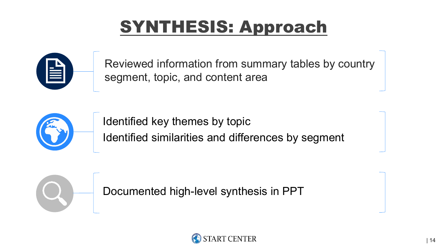## SYNTHESIS: Approach



Reviewed information from summary tables by country segment, topic, and content area



Identified key themes by topic Identified similarities and differences by segment

Documented high-level synthesis in PPT

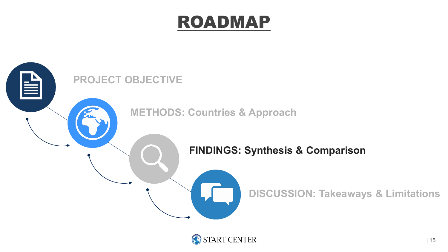### ROADMAP



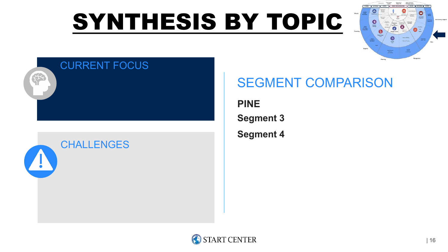# SYNTHESIS BY TOPIC



### CURRENT FOCUS



### SEGMENT COMPARISON

**PINE Segment 3 Segment 4**

**START CENTER**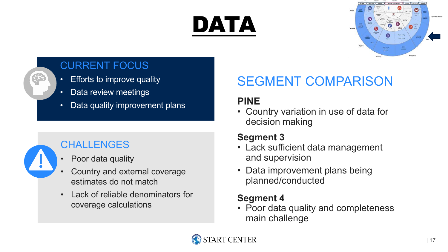# DATA



### CURRENT FOCUS

- Efforts to improve quality
- Data review meetings
- Data quality improvement plans



### **CHALLENGES**

- Poor data quality
- Country and external coverage estimates do not match
- Lack of reliable denominators for coverage calculations

### SEGMENT COMPARISON

### **PINE**

• Country variation in use of data for decision making

### **Segment 3**

- Lack sufficient data management and supervision
- Data improvement plans being planned/conducted

### **Segment 4**

• Poor data quality and completeness main challenge

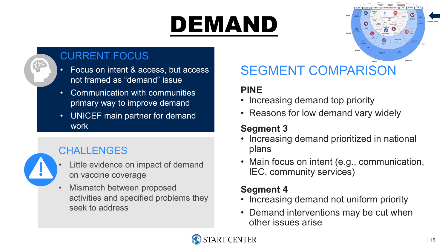# DEMAND



### CURRENT FOCUS

- Focus on intent & access, but access not framed as "demand" issue
- Communication with communities primary way to improve demand
- UNICEF main partner for demand work

### **CHALLENGES**



- Little evidence on impact of demand on vaccine coverage
- Mismatch between proposed activities and specified problems they seek to address

### SEGMENT COMPARISON

### **PINE**

- Increasing demand top priority
- Reasons for low demand vary widely

### **Segment 3**

- Increasing demand prioritized in national plans
- Main focus on intent (e.g., communication, IEC, community services)

- Increasing demand not uniform priority
- Demand interventions may be cut when other issues arise

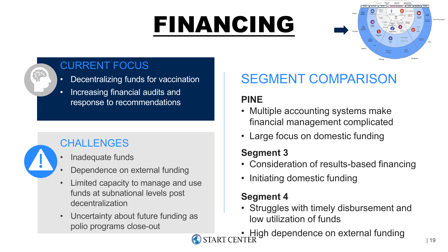# FINANCING





- Decentralizing funds for vaccination
- Increasing financial audits and response to recommendations

### **CHALLENGES**

- Inadequate funds
- Dependence on external funding
- Limited capacity to manage and use funds at subnational levels post decentralization
- Uncertainty about future funding as polio programs close-out

### SEGMENT COMPARISON

### **PINE**

- Multiple accounting systems make financial management complicated
- Large focus on domestic funding

### **Segment 3**

- Consideration of results-based financing
- Initiating domestic funding

- Struggles with timely disbursement and low utilization of funds
- High dependence on external funding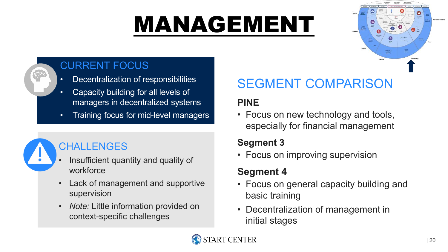# MANAGEMENT





### CURRENT FOCUS

- Decentralization of responsibilities
- Capacity building for all levels of managers in decentralized systems
- Training focus for mid-level managers



### **CHALLENGES**

- Insufficient quantity and quality of workforce
- Lack of management and supportive supervision
- *Note:* Little information provided on context-specific challenges

### SEGMENT COMPARISON

### **PINE**

• Focus on new technology and tools, especially for financial management

### **Segment 3**

• Focus on improving supervision

- Focus on general capacity building and basic training
- Decentralization of management in initial stages

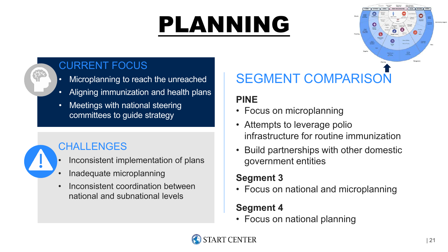# PLANNING



### CURRENT FOCUS

- Microplanning to reach the unreached
- Aligning immunization and health plans
- Meetings with national steering committees to guide strategy



### CHALLENGES

- Inconsistent implementation of plans
- Inadequate microplanning
- Inconsistent coordination between national and subnational levels

### SEGMENT COMPARISON

### **PINE**

- Focus on microplanning
- Attempts to leverage polio infrastructure for routine immunization
- Build partnerships with other domestic government entities

### **Segment 3**

• Focus on national and microplanning

### **Segment 4**

• Focus on national planning

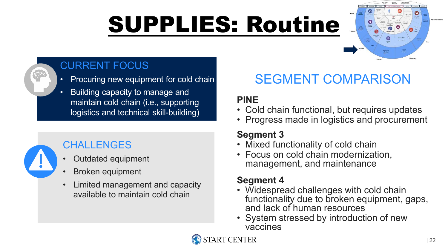# SUPPLIES: Routine





### CURRENT FOCUS

- Procuring new equipment for cold chain
- Building capacity to manage and maintain cold chain (i.e., supporting logistics and technical skill-building)



### CHALLENGES

- Outdated equipment
- Broken equipment
- Limited management and capacity available to maintain cold chain

### SEGMENT COMPARISON

### **PINE**

- Cold chain functional, but requires updates
- Progress made in logistics and procurement

### **Segment 3**

- Mixed functionality of cold chain
- Focus on cold chain modernization, management, and maintenance

- Widespread challenges with cold chain functionality due to broken equipment, gaps, and lack of human resources
- System stressed by introduction of new vaccines

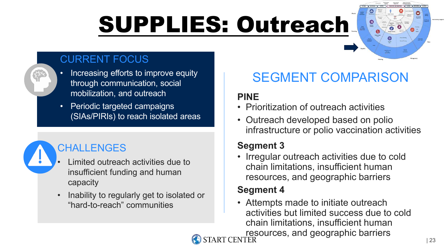# SUPPLIES: Outreach

### CURRENT FOCUS

- Increasing efforts to improve equity through communication, social mobilization, and outreach
	- Periodic targeted campaigns (SIAs/PIRIs) to reach isolated areas

### CHALLENGES

- Limited outreach activities due to insufficient funding and human capacity
- Inability to regularly get to isolated or "hard-to-reach" communities

### SEGMENT COMPARISON

### **PINE**

- Prioritization of outreach activities
- Outreach developed based on polio infrastructure or polio vaccination activities

### **Segment 3**

• Irregular outreach activities due to cold chain limitations, insufficient human resources, and geographic barriers

### **Segment 4**

• Attempts made to initiate outreach activities but limited success due to cold chain limitations, insufficient human resources, and geographic barriers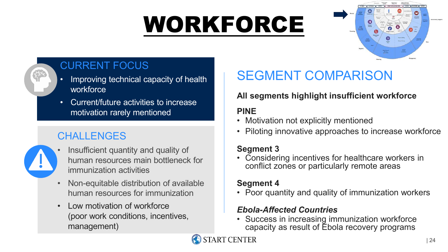# WORKFORCE





### CURRENT FOCUS

- Improving technical capacity of health workforce
- Current/future activities to increase motivation rarely mentioned

### **CHALLENGES**

- Insufficient quantity and quality of human resources main bottleneck for immunization activities
- Non-equitable distribution of available human resources for immunization
- Low motivation of workforce (poor work conditions, incentives, management)

### SEGMENT COMPARISON

### **All segments highlight insufficient workforce**

### **PINE**

- Motivation not explicitly mentioned
- Piloting innovative approaches to increase workforce

### **Segment 3**

• Considering incentives for healthcare workers in conflict zones or particularly remote areas

#### **Segment 4**

• Poor quantity and quality of immunization workers

#### *Ebola-Affected Countries*

• Success in increasing immunization workforce capacity as result of Ebola recovery programs

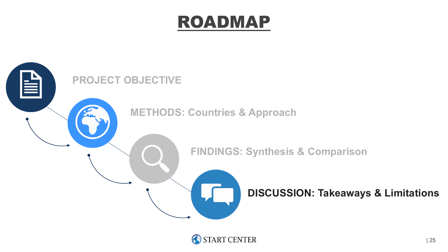### ROADMAP



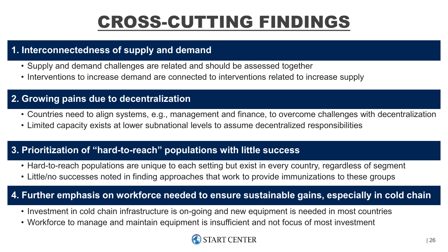## CROSS-CUTTING FINDINGS

#### **1. Interconnectedness of supply and demand**

- Supply and demand challenges are related and should be assessed together
- Interventions to increase demand are connected to interventions related to increase supply

#### **2. Growing pains due to decentralization**

- Countries need to align systems, e.g., management and finance, to overcome challenges with decentralization
- Limited capacity exists at lower subnational levels to assume decentralized responsibilities

#### **3. Prioritization of "hard-to-reach" populations with little success**

- Hard-to-reach populations are unique to each setting but exist in every country, regardless of segment
- Little/no successes noted in finding approaches that work to provide immunizations to these groups

#### **4. Further emphasis on workforce needed to ensure sustainable gains, especially in cold chain**

- Investment in cold chain infrastructure is on-going and new equipment is needed in most countries
- Workforce to manage and maintain equipment is insufficient and not focus of most investment

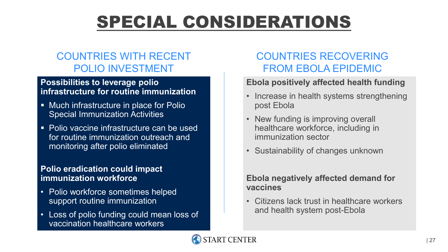## SPECIAL CONSIDERATIONS

### COUNTRIES WITH RECENT POLIO INVESTMENT

#### **Possibilities to leverage polio infrastructure for routine immunization**

- **Much infrastructure in place for Polio** Special Immunization Activities
- Polio vaccine infrastructure can be used for routine immunization outreach and monitoring after polio eliminated

#### **Polio eradication could impact immunization workforce**

- Polio workforce sometimes helped support routine immunization
- Loss of polio funding could mean loss of vaccination healthcare workers

### COUNTRIES RECOVERING FROM EBOLA EPIDEMIC

#### **Ebola positively affected health funding**

- Increase in health systems strengthening post Ebola
- New funding is improving overall healthcare workforce, including in immunization sector
- Sustainability of changes unknown

#### **Ebola negatively affected demand for vaccines**

• Citizens lack trust in healthcare workers and health system post-Ebola

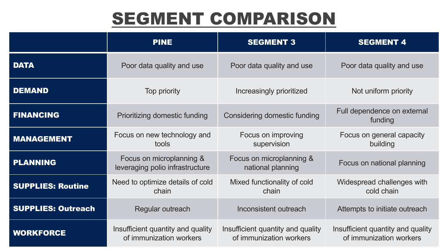## SEGMENT COMPARISON

|                           | <b>PINE</b>                                                  | <b>SEGMENT 3</b>                                             | <b>SEGMENT 4</b>                                             |
|---------------------------|--------------------------------------------------------------|--------------------------------------------------------------|--------------------------------------------------------------|
| <b>DATA</b>               | Poor data quality and use                                    | Poor data quality and use                                    | Poor data quality and use                                    |
| <b>DEMAND</b>             | Top priority                                                 | Increasingly prioritized                                     | Not uniform priority                                         |
| <b>FINANCING</b>          | Prioritizing domestic funding                                | <b>Considering domestic funding</b>                          | Full dependence on external<br>funding                       |
| <b>MANAGEMENT</b>         | Focus on new technology and<br>tools                         | Focus on improving<br>supervision                            | Focus on general capacity<br>building                        |
| <b>PLANNING</b>           | Focus on microplanning &<br>leveraging polio infrastructure  | Focus on microplanning &<br>national planning                | Focus on national planning                                   |
| <b>SUPPLIES: Routine</b>  | Need to optimize details of cold<br>chain                    | Mixed functionality of cold<br>chain                         | Widespread challenges with<br>cold chain                     |
| <b>SUPPLIES: Outreach</b> | Regular outreach                                             | Inconsistent outreach                                        | Attempts to initiate outreach                                |
| <b>WORKFORCE</b>          | Insufficient quantity and quality<br>of immunization workers | Insufficient quantity and quality<br>of immunization workers | Insufficient quantity and quality<br>of immunization workers |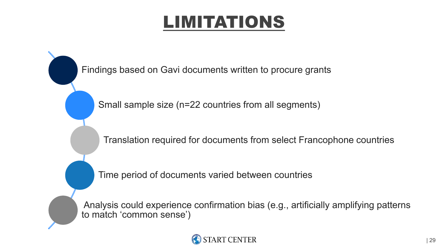## LIMITATIONS

Findings based on Gavi documents written to procure grants

Small sample size (n=22 countries from all segments)

Translation required for documents from select Francophone countries

Time period of documents varied between countries

Analysis could experience confirmation bias (e.g., artificially amplifying patterns to match 'common sense')